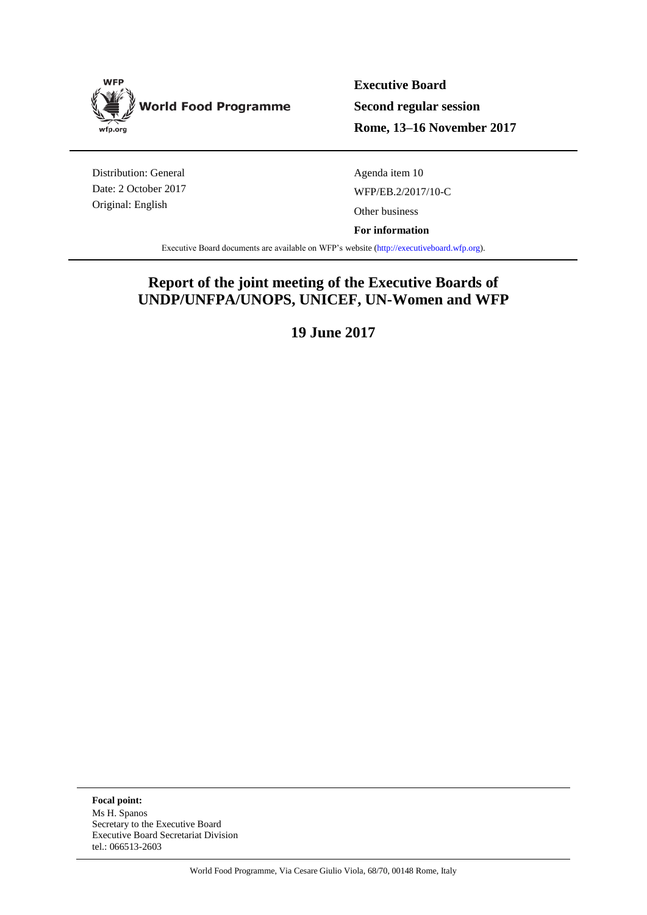

**Executive Board Second regular session Rome, 13–16 November 2017**

Distribution: General Date: 2 October 2017 Original: English

Agenda item 10 WFP/EB.2/2017/10-C Other business

**For information**

Executive Board documents are available on WFP's website [\(http://executiveboard.wfp.org\)](http://executiveboard.wfp.org/home).

## **Report of the joint meeting of the Executive Boards of UNDP/UNFPA/UNOPS, UNICEF, UN-Women and WFP**

**19 June 2017**

**Focal point:** Ms H. Spanos Secretary to the Executive Board Executive Board Secretariat Division tel.: 066513-2603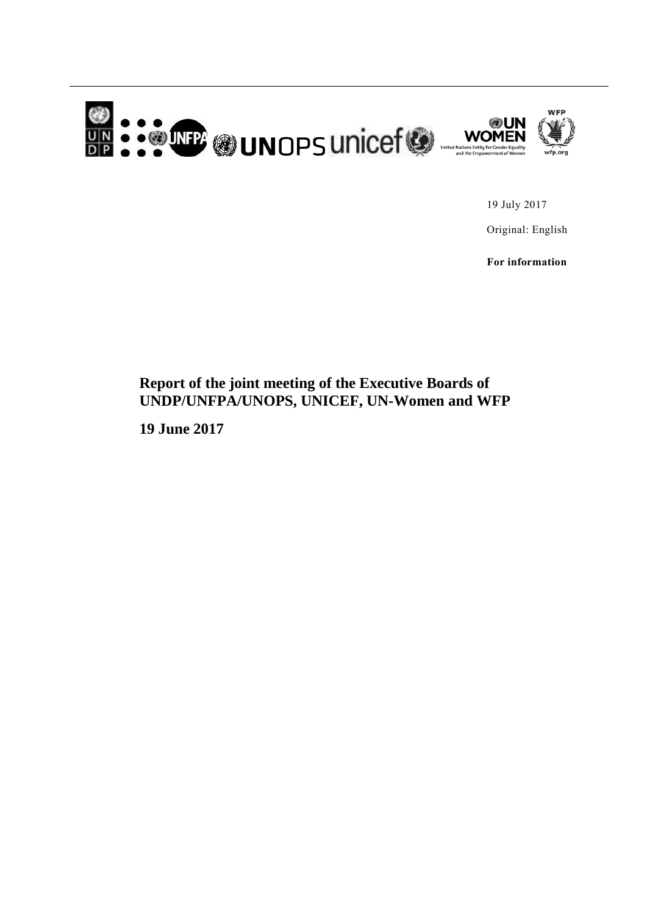

19 July 2017

Original: English

**For information**

## **Report of the joint meeting of the Executive Boards of UNDP/UNFPA/UNOPS, UNICEF, UN-Women and WFP**

**19 June 2017**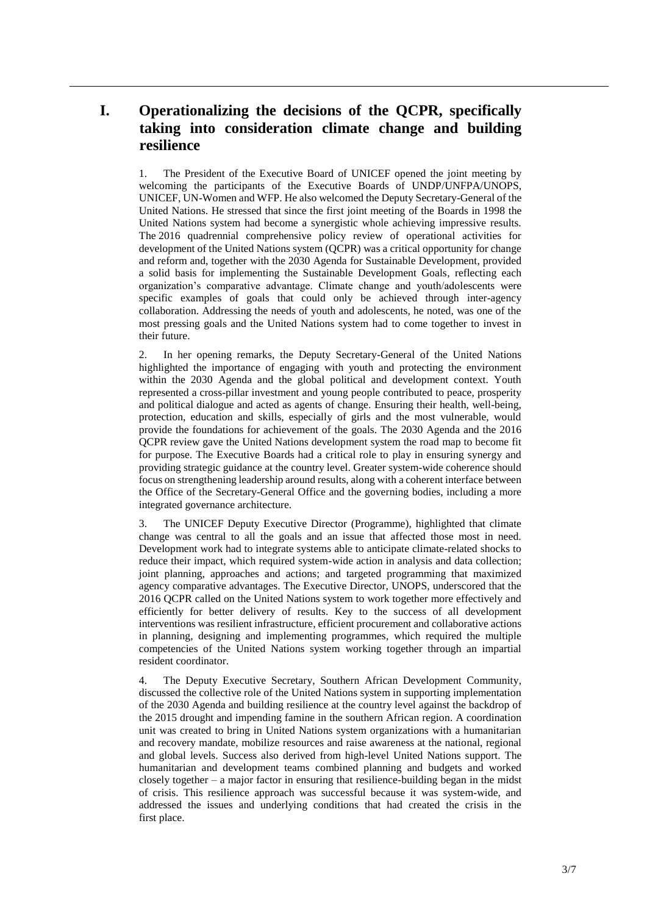## **I. Operationalizing the decisions of the QCPR, specifically taking into consideration climate change and building resilience**

1. The President of the Executive Board of UNICEF opened the joint meeting by welcoming the participants of the Executive Boards of UNDP/UNFPA/UNOPS, UNICEF, UN-Women and WFP. He also welcomed the Deputy Secretary-General of the United Nations. He stressed that since the first joint meeting of the Boards in 1998 the United Nations system had become a synergistic whole achieving impressive results. The 2016 quadrennial comprehensive policy review of operational activities for development of the United Nations system (QCPR) was a critical opportunity for change and reform and, together with the 2030 Agenda for Sustainable Development, provided a solid basis for implementing the Sustainable Development Goals, reflecting each organization's comparative advantage. Climate change and youth/adolescents were specific examples of goals that could only be achieved through inter-agency collaboration. Addressing the needs of youth and adolescents, he noted, was one of the most pressing goals and the United Nations system had to come together to invest in their future.

2. In her opening remarks, the Deputy Secretary-General of the United Nations highlighted the importance of engaging with youth and protecting the environment within the 2030 Agenda and the global political and development context. Youth represented a cross-pillar investment and young people contributed to peace, prosperity and political dialogue and acted as agents of change. Ensuring their health, well-being, protection, education and skills, especially of girls and the most vulnerable, would provide the foundations for achievement of the goals. The 2030 Agenda and the 2016 QCPR review gave the United Nations development system the road map to become fit for purpose. The Executive Boards had a critical role to play in ensuring synergy and providing strategic guidance at the country level. Greater system-wide coherence should focus on strengthening leadership around results, along with a coherent interface between the Office of the Secretary-General Office and the governing bodies, including a more integrated governance architecture.

3. The UNICEF Deputy Executive Director (Programme), highlighted that climate change was central to all the goals and an issue that affected those most in need. Development work had to integrate systems able to anticipate climate-related shocks to reduce their impact, which required system-wide action in analysis and data collection; joint planning, approaches and actions; and targeted programming that maximized agency comparative advantages. The Executive Director, UNOPS, underscored that the 2016 QCPR called on the United Nations system to work together more effectively and efficiently for better delivery of results. Key to the success of all development interventions was resilient infrastructure, efficient procurement and collaborative actions in planning, designing and implementing programmes, which required the multiple competencies of the United Nations system working together through an impartial resident coordinator.

4. The Deputy Executive Secretary, Southern African Development Community, discussed the collective role of the United Nations system in supporting implementation of the 2030 Agenda and building resilience at the country level against the backdrop of the 2015 drought and impending famine in the southern African region. A coordination unit was created to bring in United Nations system organizations with a humanitarian and recovery mandate, mobilize resources and raise awareness at the national, regional and global levels. Success also derived from high-level United Nations support. The humanitarian and development teams combined planning and budgets and worked closely together – a major factor in ensuring that resilience-building began in the midst of crisis. This resilience approach was successful because it was system-wide, and addressed the issues and underlying conditions that had created the crisis in the first place.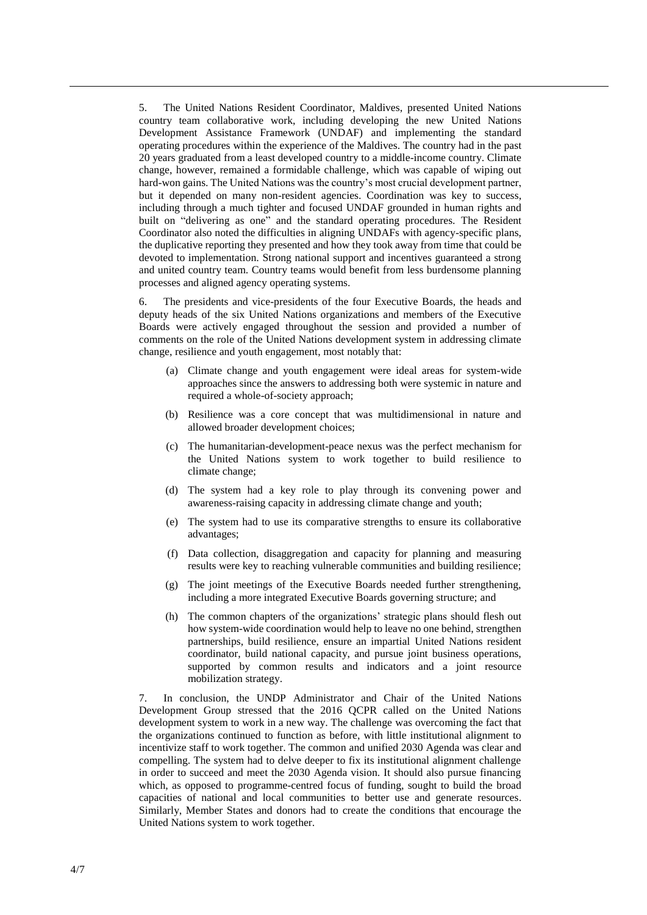5. The United Nations Resident Coordinator, Maldives, presented United Nations country team collaborative work, including developing the new United Nations Development Assistance Framework (UNDAF) and implementing the standard operating procedures within the experience of the Maldives. The country had in the past 20 years graduated from a least developed country to a middle-income country. Climate change, however, remained a formidable challenge, which was capable of wiping out hard-won gains. The United Nations was the country's most crucial development partner, but it depended on many non-resident agencies. Coordination was key to success, including through a much tighter and focused UNDAF grounded in human rights and built on "delivering as one" and the standard operating procedures. The Resident Coordinator also noted the difficulties in aligning UNDAFs with agency-specific plans, the duplicative reporting they presented and how they took away from time that could be devoted to implementation. Strong national support and incentives guaranteed a strong and united country team. Country teams would benefit from less burdensome planning processes and aligned agency operating systems.

6. The presidents and vice-presidents of the four Executive Boards, the heads and deputy heads of the six United Nations organizations and members of the Executive Boards were actively engaged throughout the session and provided a number of comments on the role of the United Nations development system in addressing climate change, resilience and youth engagement, most notably that:

- (a) Climate change and youth engagement were ideal areas for system-wide approaches since the answers to addressing both were systemic in nature and required a whole-of-society approach;
- (b) Resilience was a core concept that was multidimensional in nature and allowed broader development choices;
- (c) The humanitarian-development-peace nexus was the perfect mechanism for the United Nations system to work together to build resilience to climate change;
- (d) The system had a key role to play through its convening power and awareness-raising capacity in addressing climate change and youth;
- (e) The system had to use its comparative strengths to ensure its collaborative advantages;
- (f) Data collection, disaggregation and capacity for planning and measuring results were key to reaching vulnerable communities and building resilience;
- (g) The joint meetings of the Executive Boards needed further strengthening, including a more integrated Executive Boards governing structure; and
- (h) The common chapters of the organizations' strategic plans should flesh out how system-wide coordination would help to leave no one behind, strengthen partnerships, build resilience, ensure an impartial United Nations resident coordinator, build national capacity, and pursue joint business operations, supported by common results and indicators and a joint resource mobilization strategy.

7. In conclusion, the UNDP Administrator and Chair of the United Nations Development Group stressed that the 2016 QCPR called on the United Nations development system to work in a new way. The challenge was overcoming the fact that the organizations continued to function as before, with little institutional alignment to incentivize staff to work together. The common and unified 2030 Agenda was clear and compelling. The system had to delve deeper to fix its institutional alignment challenge in order to succeed and meet the 2030 Agenda vision. It should also pursue financing which, as opposed to programme-centred focus of funding, sought to build the broad capacities of national and local communities to better use and generate resources. Similarly, Member States and donors had to create the conditions that encourage the United Nations system to work together.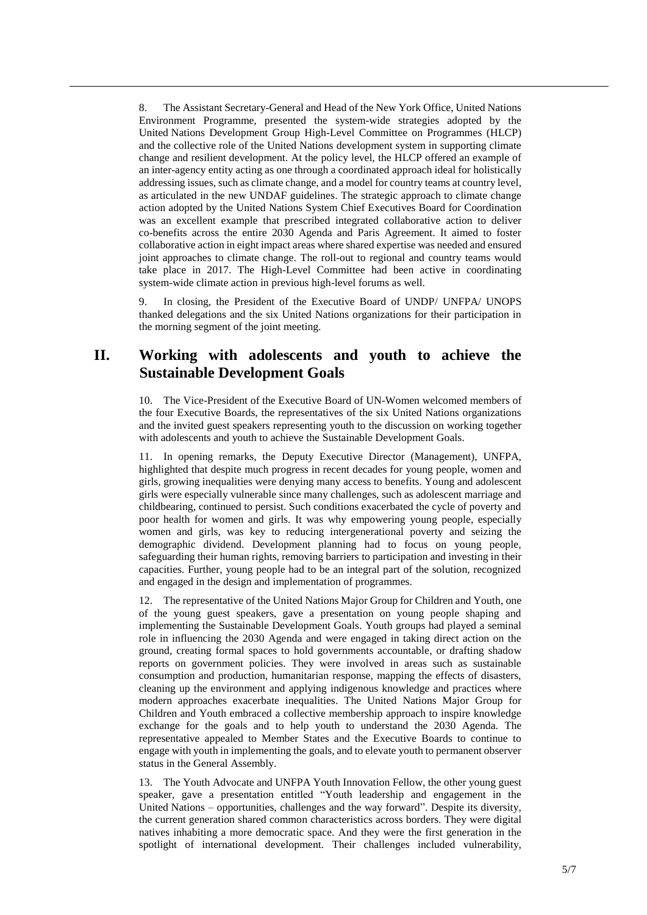8. The Assistant Secretary-General and Head of the New York Office, United Nations Environment Programme, presented the system-wide strategies adopted by the United Nations Development Group High-Level Committee on Programmes (HLCP) and the collective role of the United Nations development system in supporting climate change and resilient development. At the policy level, the HLCP offered an example of an inter-agency entity acting as one through a coordinated approach ideal for holistically addressing issues, such as climate change, and a model for country teams at country level, as articulated in the new UNDAF guidelines. The strategic approach to climate change action adopted by the United Nations System Chief Executives Board for Coordination was an excellent example that prescribed integrated collaborative action to deliver co-benefits across the entire 2030 Agenda and Paris Agreement. It aimed to foster collaborative action in eight impact areas where shared expertise was needed and ensured joint approaches to climate change. The roll-out to regional and country teams would take place in 2017. The High-Level Committee had been active in coordinating system-wide climate action in previous high-level forums as well.

9. In closing, the President of the Executive Board of UNDP/ UNFPA/ UNOPS thanked delegations and the six United Nations organizations for their participation in the morning segment of the joint meeting.

## **II. Working with adolescents and youth to achieve the Sustainable Development Goals**

10. The Vice-President of the Executive Board of UN-Women welcomed members of the four Executive Boards, the representatives of the six United Nations organizations and the invited guest speakers representing youth to the discussion on working together with adolescents and youth to achieve the Sustainable Development Goals.

11. In opening remarks, the Deputy Executive Director (Management), UNFPA, highlighted that despite much progress in recent decades for young people, women and girls, growing inequalities were denying many access to benefits. Young and adolescent girls were especially vulnerable since many challenges, such as adolescent marriage and childbearing, continued to persist. Such conditions exacerbated the cycle of poverty and poor health for women and girls. It was why empowering young people, especially women and girls, was key to reducing intergenerational poverty and seizing the demographic dividend. Development planning had to focus on young people, safeguarding their human rights, removing barriers to participation and investing in their capacities. Further, young people had to be an integral part of the solution, recognized and engaged in the design and implementation of programmes.

12. The representative of the United Nations Major Group for Children and Youth, one of the young guest speakers, gave a presentation on young people shaping and implementing the Sustainable Development Goals. Youth groups had played a seminal role in influencing the 2030 Agenda and were engaged in taking direct action on the ground, creating formal spaces to hold governments accountable, or drafting shadow reports on government policies. They were involved in areas such as sustainable consumption and production, humanitarian response, mapping the effects of disasters, cleaning up the environment and applying indigenous knowledge and practices where modern approaches exacerbate inequalities. The United Nations Major Group for Children and Youth embraced a collective membership approach to inspire knowledge exchange for the goals and to help youth to understand the 2030 Agenda. The representative appealed to Member States and the Executive Boards to continue to engage with youth in implementing the goals, and to elevate youth to permanent observer status in the General Assembly.

13. The Youth Advocate and UNFPA Youth Innovation Fellow, the other young guest speaker, gave a presentation entitled "Youth leadership and engagement in the United Nations – opportunities, challenges and the way forward". Despite its diversity, the current generation shared common characteristics across borders. They were digital natives inhabiting a more democratic space. And they were the first generation in the spotlight of international development. Their challenges included vulnerability,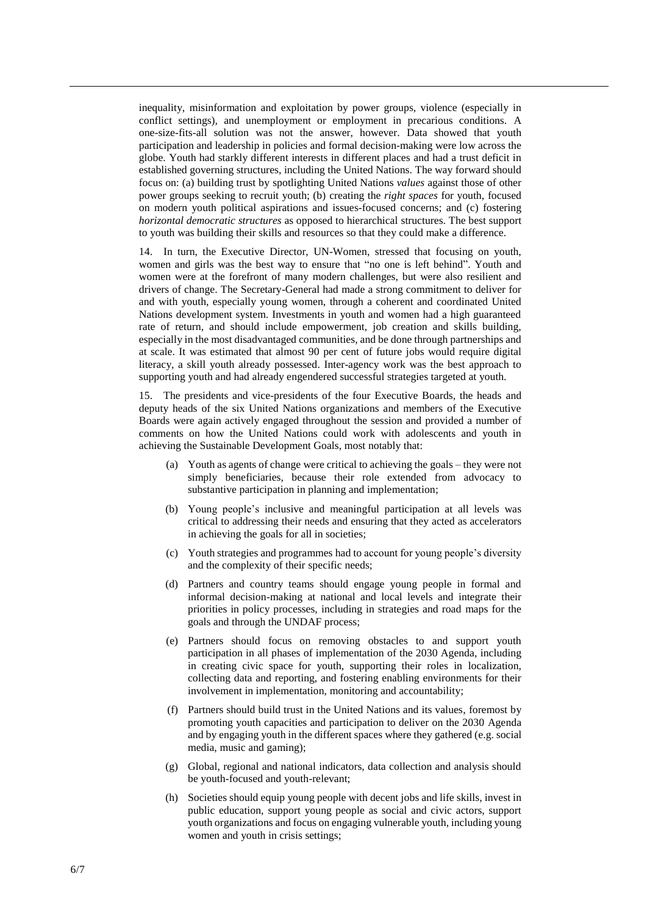inequality, misinformation and exploitation by power groups, violence (especially in conflict settings), and unemployment or employment in precarious conditions. A one-size-fits-all solution was not the answer, however. Data showed that youth participation and leadership in policies and formal decision-making were low across the globe. Youth had starkly different interests in different places and had a trust deficit in established governing structures, including the United Nations. The way forward should focus on: (a) building trust by spotlighting United Nations *values* against those of other power groups seeking to recruit youth; (b) creating the *right spaces* for youth, focused on modern youth political aspirations and issues-focused concerns; and (c) fostering *horizontal democratic structures* as opposed to hierarchical structures. The best support to youth was building their skills and resources so that they could make a difference.

14. In turn, the Executive Director, UN-Women, stressed that focusing on youth, women and girls was the best way to ensure that "no one is left behind". Youth and women were at the forefront of many modern challenges, but were also resilient and drivers of change. The Secretary-General had made a strong commitment to deliver for and with youth, especially young women, through a coherent and coordinated United Nations development system. Investments in youth and women had a high guaranteed rate of return, and should include empowerment, job creation and skills building, especially in the most disadvantaged communities, and be done through partnerships and at scale. It was estimated that almost 90 per cent of future jobs would require digital literacy, a skill youth already possessed. Inter-agency work was the best approach to supporting youth and had already engendered successful strategies targeted at youth.

15. The presidents and vice-presidents of the four Executive Boards, the heads and deputy heads of the six United Nations organizations and members of the Executive Boards were again actively engaged throughout the session and provided a number of comments on how the United Nations could work with adolescents and youth in achieving the Sustainable Development Goals, most notably that:

- (a) Youth as agents of change were critical to achieving the goals they were not simply beneficiaries, because their role extended from advocacy to substantive participation in planning and implementation;
- (b) Young people's inclusive and meaningful participation at all levels was critical to addressing their needs and ensuring that they acted as accelerators in achieving the goals for all in societies;
- (c) Youth strategies and programmes had to account for young people's diversity and the complexity of their specific needs;
- (d) Partners and country teams should engage young people in formal and informal decision-making at national and local levels and integrate their priorities in policy processes, including in strategies and road maps for the goals and through the UNDAF process;
- (e) Partners should focus on removing obstacles to and support youth participation in all phases of implementation of the 2030 Agenda, including in creating civic space for youth, supporting their roles in localization, collecting data and reporting, and fostering enabling environments for their involvement in implementation, monitoring and accountability;
- (f) Partners should build trust in the United Nations and its values, foremost by promoting youth capacities and participation to deliver on the 2030 Agenda and by engaging youth in the different spaces where they gathered (e.g. social media, music and gaming);
- (g) Global, regional and national indicators, data collection and analysis should be youth-focused and youth-relevant;
- (h) Societies should equip young people with decent jobs and life skills, invest in public education, support young people as social and civic actors, support youth organizations and focus on engaging vulnerable youth, including young women and youth in crisis settings;